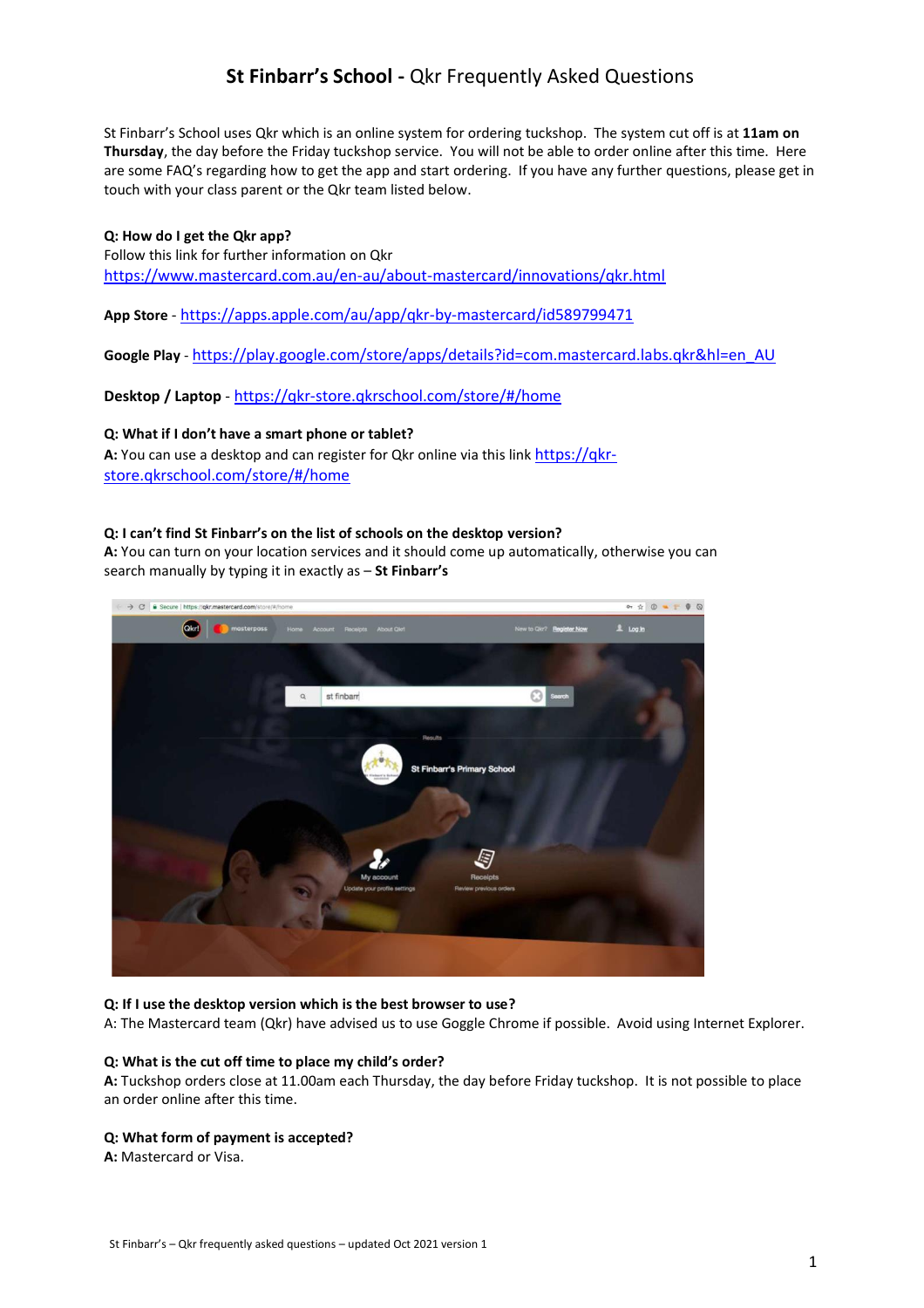# **St Finbarr's School -** Qkr Frequently Asked Questions

St Finbarr's School uses Qkr which is an online system for ordering tuckshop. The system cut off is at **11am on Thursday**, the day before the Friday tuckshop service. You will not be able to order online after this time. Here are some FAQ's regarding how to get the app and start ordering. If you have any further questions, please get in touch with your class parent or the Qkr team listed below.

**Q: How do I get the Qkr app?** Follow this link for further information on Qkr https://www.mastercard.com.au/en-au/about-mastercard/innovations/qkr.html

**App Store** - https://apps.apple.com/au/app/qkr-by-mastercard/id589799471

**Google Play** - https://play.google.com/store/apps/details?id=com.mastercard.labs.qkr&hl=en\_AU

**Desktop / Laptop** - https://qkr-store.qkrschool.com/store/#/home

# **Q: What if I don't have a smart phone or tablet?**

**A:** You can use a desktop and can register for Qkr online via this link https://qkrstore.qkrschool.com/store/#/home

# **Q: I can't find St Finbarr's on the list of schools on the desktop version?**

**A:** You can turn on your location services and it should come up automatically, otherwise you can search manually by typing it in exactly as – **St Finbarr's**



# **Q: If I use the desktop version which is the best browser to use?**

A: The Mastercard team (Qkr) have advised us to use Goggle Chrome if possible. Avoid using Internet Explorer.

# **Q: What is the cut off time to place my child's order?**

**A:** Tuckshop orders close at 11.00am each Thursday, the day before Friday tuckshop. It is not possible to place an order online after this time.

# **Q: What form of payment is accepted?**

**A:** Mastercard or Visa.